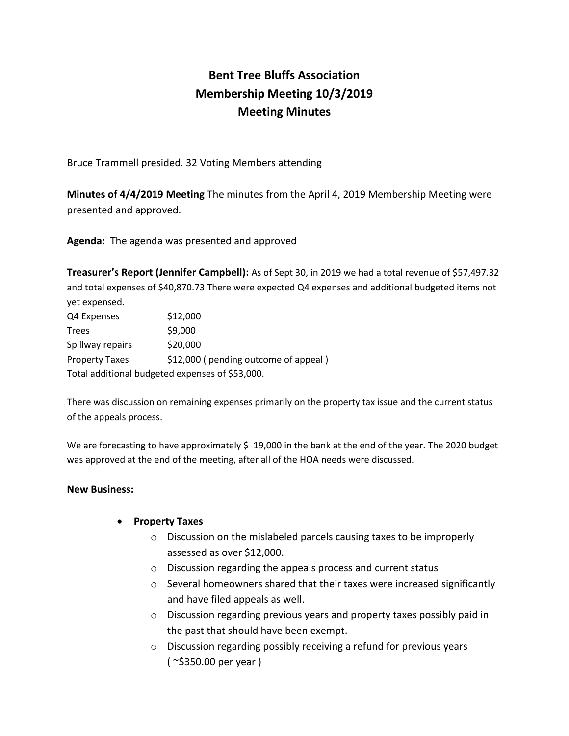## **Bent Tree Bluffs Association Membership Meeting 10/3/2019 Meeting Minutes**

Bruce Trammell presided. 32 Voting Members attending

**Minutes of 4/4/2019 Meeting** The minutes from the April 4, 2019 Membership Meeting were presented and approved.

**Agenda:** The agenda was presented and approved

**Treasurer's Report (Jennifer Campbell):** As of Sept 30, in 2019 we had a total revenue of \$57,497.32 and total expenses of \$40,870.73 There were expected Q4 expenses and additional budgeted items not yet expensed.

| Q4 Expenses                                     | \$12,000                             |
|-------------------------------------------------|--------------------------------------|
| Trees                                           | \$9,000                              |
| Spillway repairs                                | \$20,000                             |
| <b>Property Taxes</b>                           | \$12,000 (pending outcome of appeal) |
| Total additional budgeted expenses of \$53,000. |                                      |

There was discussion on remaining expenses primarily on the property tax issue and the current status of the appeals process.

We are forecasting to have approximately \$19,000 in the bank at the end of the year. The 2020 budget was approved at the end of the meeting, after all of the HOA needs were discussed.

## **New Business:**

## • **Property Taxes**

- o Discussion on the mislabeled parcels causing taxes to be improperly assessed as over \$12,000.
- o Discussion regarding the appeals process and current status
- o Several homeowners shared that their taxes were increased significantly and have filed appeals as well.
- o Discussion regarding previous years and property taxes possibly paid in the past that should have been exempt.
- o Discussion regarding possibly receiving a refund for previous years ( ~\$350.00 per year )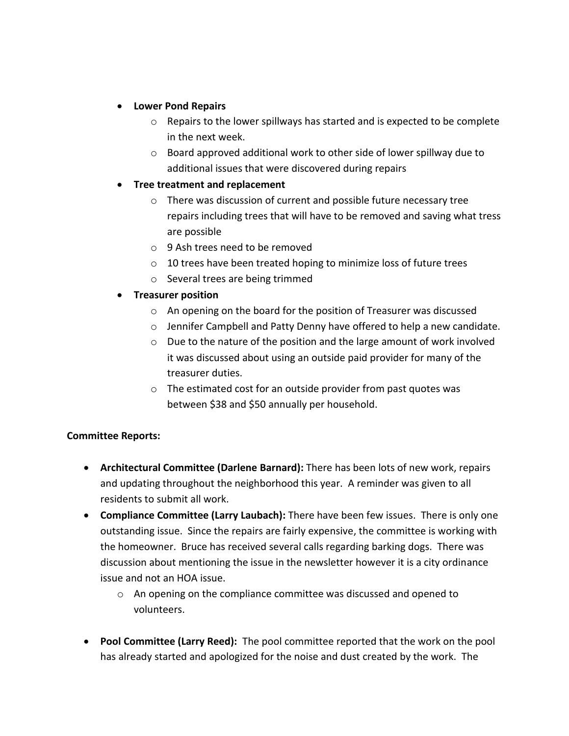- **Lower Pond Repairs**
	- $\circ$  Repairs to the lower spillways has started and is expected to be complete in the next week.
	- o Board approved additional work to other side of lower spillway due to additional issues that were discovered during repairs
- **Tree treatment and replacement**
	- o There was discussion of current and possible future necessary tree repairs including trees that will have to be removed and saving what tress are possible
	- o 9 Ash trees need to be removed
	- o 10 trees have been treated hoping to minimize loss of future trees
	- o Several trees are being trimmed
- **Treasurer position**
	- o An opening on the board for the position of Treasurer was discussed
	- o Jennifer Campbell and Patty Denny have offered to help a new candidate.
	- o Due to the nature of the position and the large amount of work involved it was discussed about using an outside paid provider for many of the treasurer duties.
	- o The estimated cost for an outside provider from past quotes was between \$38 and \$50 annually per household.

## **Committee Reports:**

- **Architectural Committee (Darlene Barnard):** There has been lots of new work, repairs and updating throughout the neighborhood this year. A reminder was given to all residents to submit all work.
- **Compliance Committee (Larry Laubach):** There have been few issues. There is only one outstanding issue. Since the repairs are fairly expensive, the committee is working with the homeowner. Bruce has received several calls regarding barking dogs. There was discussion about mentioning the issue in the newsletter however it is a city ordinance issue and not an HOA issue.
	- $\circ$  An opening on the compliance committee was discussed and opened to volunteers.
- **Pool Committee (Larry Reed):** The pool committee reported that the work on the pool has already started and apologized for the noise and dust created by the work. The